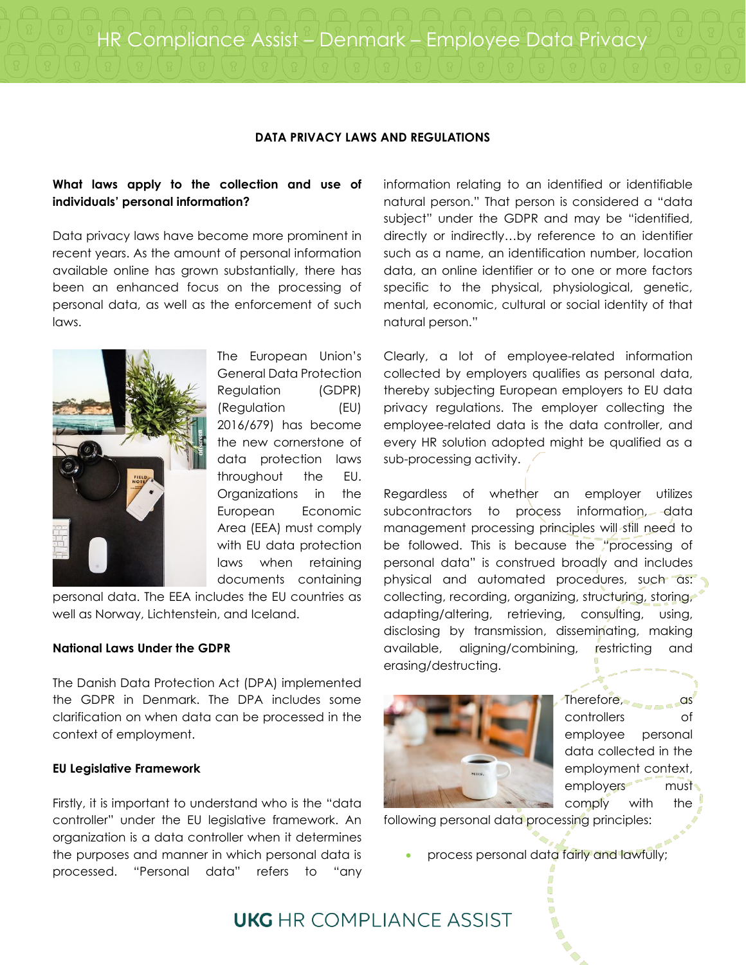HR Compliance Assist – Denmark – Employee Data Privacy

### **DATA PRIVACY LAWS AND REGULATIONS**

# **What laws apply to the collection and use of individuals' personal information?**

Data privacy laws have become more prominent in recent years. As the amount of personal information available online has grown substantially, there has been an enhanced focus on the processing of personal data, as well as the enforcement of such laws.



The European Union's General Data Protection Regulation (GDPR) (Regulation (EU) 2016/679) has become the new cornerstone of data protection laws throughout the EU. Organizations in the European Economic Area (EEA) must comply with EU data protection laws when retaining documents containing

personal data. The EEA includes the EU countries as well as Norway, Lichtenstein, and Iceland.

### **National Laws Under the GDPR**

The Danish Data Protection Act (DPA) implemented the GDPR in Denmark. The DPA includes some clarification on when data can be processed in the context of employment.

#### **EU Legislative Framework**

Firstly, it is important to understand who is the "data controller" under the EU legislative framework. An organization is a data controller when it determines the purposes and manner in which personal data is processed. "Personal data" refers to "any information relating to an identified or identifiable natural person." That person is considered a "data subject" under the GDPR and may be "identified, directly or indirectly…by reference to an identifier such as a name, an identification number, location data, an online identifier or to one or more factors specific to the physical, physiological, genetic, mental, economic, cultural or social identity of that natural person."

Clearly, a lot of employee-related information collected by employers qualifies as personal data, thereby subjecting European employers to EU data privacy regulations. The employer collecting the employee-related data is the data controller, and every HR solution adopted might be qualified as a sub-processing activity.

Regardless of whether an employer utilizes subcontractors to process information, data management processing principles will still need to be followed. This is because the "processing of personal data" is construed broadly and includes physical and automated procedures, such as: collecting, recording, organizing, structuring, storing, adapting/altering, retrieving, consulting, using, disclosing by transmission, disseminating, making available, aligning/combining, restricting and erasing/destructing.



Therefore, controllers of employee personal data collected in the employment context, employers must comply with the

following personal data processing principles:

process personal data fairly and lawfully;

# **UKG** HR COMPI IANCE ASSIST